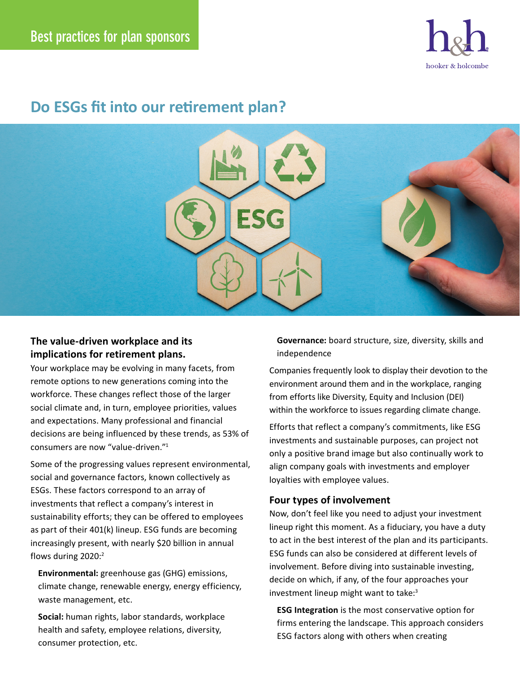

# **Do ESGs fit into our retirement plan?**



## **The value-driven workplace and its implications for retirement plans.**

Your workplace may be evolving in many facets, from remote options to new generations coming into the workforce. These changes reflect those of the larger social climate and, in turn, employee priorities, values and expectations. Many professional and financial decisions are being influenced by these trends, as 53% of consumers are now "value-driven."1

Some of the progressing values represent environmental, social and governance factors, known collectively as ESGs. These factors correspond to an array of investments that reflect a company's interest in sustainability efforts; they can be offered to employees as part of their 401(k) lineup. ESG funds are becoming increasingly present, with nearly \$20 billion in annual flows during 2020:2

**Environmental:** greenhouse gas (GHG) emissions, climate change, renewable energy, energy efficiency, waste management, etc.

**Social:** human rights, labor standards, workplace health and safety, employee relations, diversity, consumer protection, etc.

**Governance:** board structure, size, diversity, skills and independence

Companies frequently look to display their devotion to the environment around them and in the workplace, ranging from efforts like Diversity, Equity and Inclusion (DEI) within the workforce to issues regarding climate change.

Efforts that reflect a company's commitments, like ESG investments and sustainable purposes, can project not only a positive brand image but also continually work to align company goals with investments and employer loyalties with employee values.

### **Four types of involvement**

Now, don't feel like you need to adjust your investment lineup right this moment. As a fiduciary, you have a duty to act in the best interest of the plan and its participants. ESG funds can also be considered at different levels of involvement. Before diving into sustainable investing, decide on which, if any, of the four approaches your investment lineup might want to take:<sup>3</sup>

**ESG Integration** is the most conservative option for firms entering the landscape. This approach considers ESG factors along with others when creating